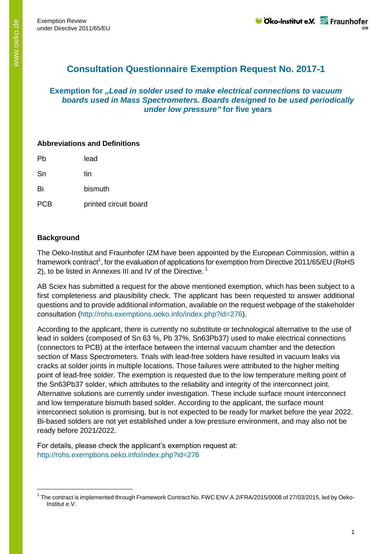# **Consultation Questionnaire Exemption Request No. 2017-1**

#### **Exemption for** *"Lead in solder used to make electrical connections to vacuum boards used in Mass Spectrometers. Boards designed to be used periodically under low pressure"* **for five years**

### **Abbreviations and Definitions**

| Pb | lead    |
|----|---------|
| Sn | tin     |
| Bi | bismuth |

PCB printed circuit board

## **Background**

-

The Oeko-Institut and Fraunhofer IZM have been appointed by the European Commission, within a framework contract<sup>1</sup>, for the evaluation of applications for exemption from Directive 2011/65/EU (RoHS 2), to be listed in Annexes III and IV of the Directive.<sup>1</sup>

AB Sciex has submitted a request for the above mentioned exemption, which has been subject to a first completeness and plausibility check. The applicant has been requested to answer additional questions and to provide additional information, available on the request webpage of the stakeholder consultation (http://rohs.exemptions.oeko.info/index.php?id=276).

According to the applicant, there is currently no substitute or technological alternative to the use of lead in solders (composed of Sn 63 %, Pb 37%, Sn63Pb37) used to make electrical connections (connectors to PCB) at the interface between the internal vacuum chamber and the detection section of Mass Spectrometers. Trials with lead-free solders have resulted in vacuum leaks via cracks at solder joints in multiple locations. Those failures were attributed to the higher melting point of lead-free solder. The exemption is requested due to the low temperature melting point of the Sn63Pb37 solder, which attributes to the reliability and integrity of the interconnect joint. Alternative solutions are currently under investigation. These include surface mount interconnect and low temperature bismuth based solder. According to the applicant, the surface mount interconnect solution is promising, but is not expected to be ready for market before the year 2022. Bi-based solders are not yet established under a low pressure environment, and may also not be ready before 2021/2022.

For details, please check the applicant's exemption request at: http://rohs.exemptions.oeko.info/index.php?id=276

<sup>&</sup>lt;sup>1</sup> The contract is implemented through Framework Contract No. FWC ENV.A.2/FRA/2015/0008 of 27/03/2015, led by Oeko-Institut e.V.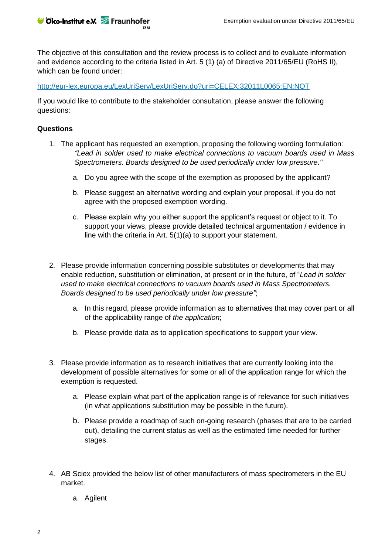The objective of this consultation and the review process is to collect and to evaluate information and evidence according to the criteria listed in Art. 5 (1) (a) of Directive 2011/65/EU (RoHS II), which can be found under:

<http://eur-lex.europa.eu/LexUriServ/LexUriServ.do?uri=CELEX:32011L0065:EN:NOT>

If you would like to contribute to the stakeholder consultation, please answer the following questions:

#### **Questions**

Cko-Institut e.V. Fraunhofer

- 1. The applicant has requested an exemption, proposing the following wording formulation: *"Lead in solder used to make electrical connections to vacuum boards used in Mass Spectrometers. Boards designed to be used periodically under low pressure."*
	- a. Do you agree with the scope of the exemption as proposed by the applicant?
	- b. Please suggest an alternative wording and explain your proposal, if you do not agree with the proposed exemption wording.
	- c. Please explain why you either support the applicant's request or object to it. To support your views, please provide detailed technical argumentation / evidence in line with the criteria in Art. 5(1)(a) to support your statement.
- 2. Please provide information concerning possible substitutes or developments that may enable reduction, substitution or elimination, at present or in the future, of "*Lead in solder used to make electrical connections to vacuum boards used in Mass Spectrometers. Boards designed to be used periodically under low pressure"*;
	- a. In this regard, please provide information as to alternatives that may cover part or all of the applicability range of *the application*;
	- b. Please provide data as to application specifications to support your view.
- 3. Please provide information as to research initiatives that are currently looking into the development of possible alternatives for some or all of the application range for which the exemption is requested.
	- a. Please explain what part of the application range is of relevance for such initiatives (in what applications substitution may be possible in the future).
	- b. Please provide a roadmap of such on-going research (phases that are to be carried out), detailing the current status as well as the estimated time needed for further stages.
- 4. AB Sciex provided the below list of other manufacturers of mass spectrometers in the EU market.
	- a. Agilent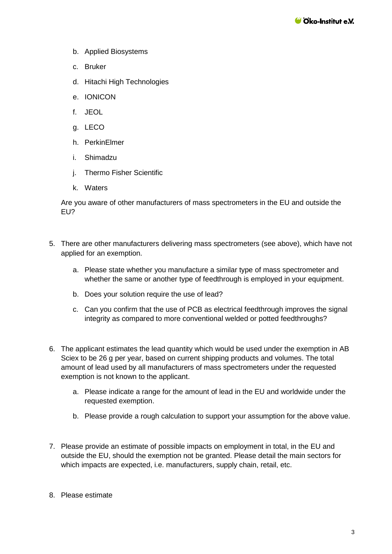- b. Applied Biosystems
- c. Bruker
- d. Hitachi High Technologies
- e. IONICON
- f. JEOL
- g. LECO
- h. PerkinElmer
- i. Shimadzu
- j. Thermo Fisher Scientific
- k. Waters

Are you aware of other manufacturers of mass spectrometers in the EU and outside the EU?

- 5. There are other manufacturers delivering mass spectrometers (see above), which have not applied for an exemption.
	- a. Please state whether you manufacture a similar type of mass spectrometer and whether the same or another type of feedthrough is employed in your equipment.
	- b. Does your solution require the use of lead?
	- c. Can you confirm that the use of PCB as electrical feedthrough improves the signal integrity as compared to more conventional welded or potted feedthroughs?
- 6. The applicant estimates the lead quantity which would be used under the exemption in AB Sciex to be 26 g per year, based on current shipping products and volumes. The total amount of lead used by all manufacturers of mass spectrometers under the requested exemption is not known to the applicant.
	- a. Please indicate a range for the amount of lead in the EU and worldwide under the requested exemption.
	- b. Please provide a rough calculation to support your assumption for the above value.
- 7. Please provide an estimate of possible impacts on employment in total, in the EU and outside the EU, should the exemption not be granted. Please detail the main sectors for which impacts are expected, i.e. manufacturers, supply chain, retail, etc.
- 8. Please estimate